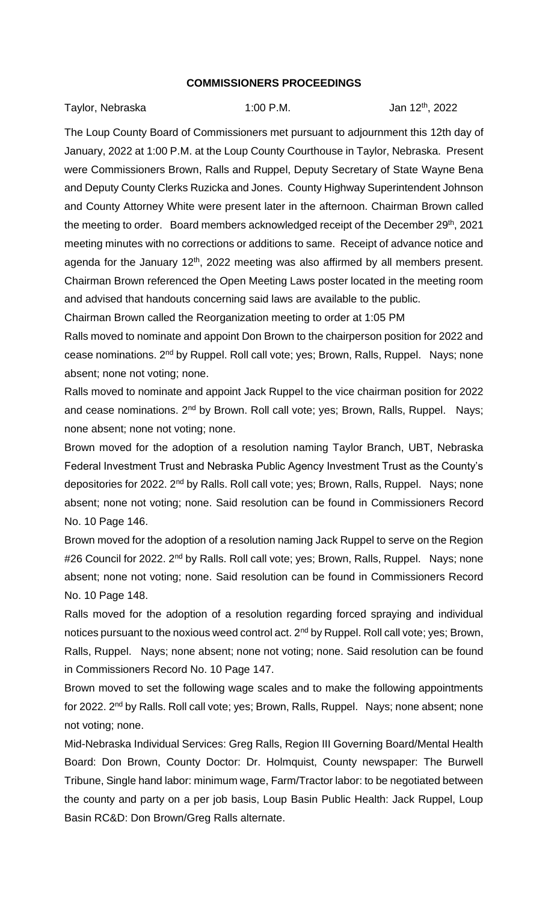## **COMMISSIONERS PROCEEDINGS**

| Taylor, Nebraska | $1:00$ P.M. | Jan 12 <sup>th</sup> , 2022 |
|------------------|-------------|-----------------------------|
|------------------|-------------|-----------------------------|

The Loup County Board of Commissioners met pursuant to adjournment this 12th day of January, 2022 at 1:00 P.M. at the Loup County Courthouse in Taylor, Nebraska. Present were Commissioners Brown, Ralls and Ruppel, Deputy Secretary of State Wayne Bena and Deputy County Clerks Ruzicka and Jones. County Highway Superintendent Johnson and County Attorney White were present later in the afternoon. Chairman Brown called the meeting to order. Board members acknowledged receipt of the December 29<sup>th</sup>, 2021 meeting minutes with no corrections or additions to same. Receipt of advance notice and agenda for the January 12<sup>th</sup>, 2022 meeting was also affirmed by all members present. Chairman Brown referenced the Open Meeting Laws poster located in the meeting room and advised that handouts concerning said laws are available to the public.

Chairman Brown called the Reorganization meeting to order at 1:05 PM

Ralls moved to nominate and appoint Don Brown to the chairperson position for 2022 and cease nominations. 2nd by Ruppel. Roll call vote; yes; Brown, Ralls, Ruppel. Nays; none absent; none not voting; none.

Ralls moved to nominate and appoint Jack Ruppel to the vice chairman position for 2022 and cease nominations. 2<sup>nd</sup> by Brown. Roll call vote; yes; Brown, Ralls, Ruppel. Nays; none absent; none not voting; none.

Brown moved for the adoption of a resolution naming Taylor Branch, UBT, Nebraska Federal Investment Trust and Nebraska Public Agency Investment Trust as the County's depositories for 2022. 2<sup>nd</sup> by Ralls. Roll call vote; yes; Brown, Ralls, Ruppel. Nays; none absent; none not voting; none. Said resolution can be found in Commissioners Record No. 10 Page 146.

Brown moved for the adoption of a resolution naming Jack Ruppel to serve on the Region #26 Council for 2022. 2<sup>nd</sup> by Ralls. Roll call vote; yes; Brown, Ralls, Ruppel. Nays; none absent; none not voting; none. Said resolution can be found in Commissioners Record No. 10 Page 148.

Ralls moved for the adoption of a resolution regarding forced spraying and individual notices pursuant to the noxious weed control act. 2<sup>nd</sup> by Ruppel. Roll call vote; yes; Brown, Ralls, Ruppel. Nays; none absent; none not voting; none. Said resolution can be found in Commissioners Record No. 10 Page 147.

Brown moved to set the following wage scales and to make the following appointments for 2022. 2nd by Ralls. Roll call vote; yes; Brown, Ralls, Ruppel. Nays; none absent; none not voting; none.

Mid-Nebraska Individual Services: Greg Ralls, Region III Governing Board/Mental Health Board: Don Brown, County Doctor: Dr. Holmquist, County newspaper: The Burwell Tribune, Single hand labor: minimum wage, Farm/Tractor labor: to be negotiated between the county and party on a per job basis, Loup Basin Public Health: Jack Ruppel, Loup Basin RC&D: Don Brown/Greg Ralls alternate.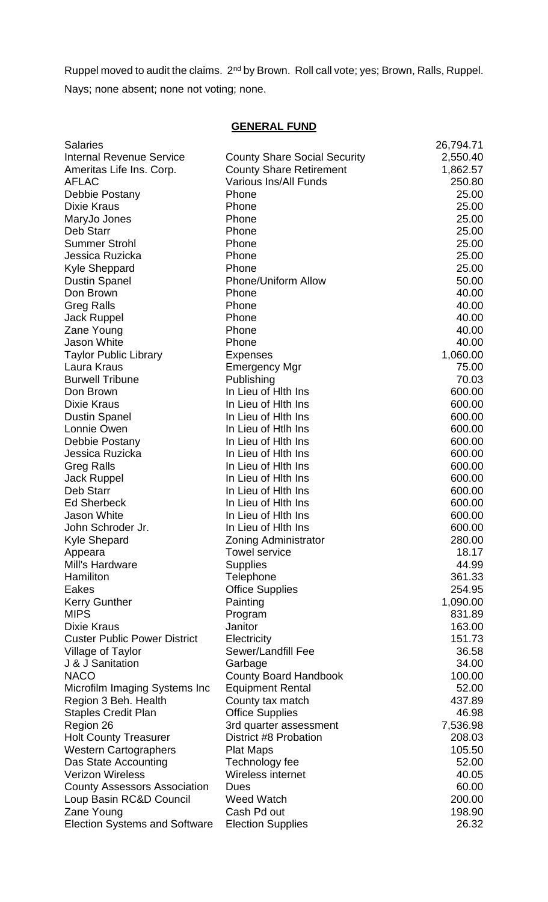Ruppel moved to audit the claims. 2nd by Brown. Roll call vote; yes; Brown, Ralls, Ruppel. Nays; none absent; none not voting; none.

## **GENERAL FUND**

| <b>Salaries</b>                      |                                     | 26,794.71 |
|--------------------------------------|-------------------------------------|-----------|
| <b>Internal Revenue Service</b>      | <b>County Share Social Security</b> | 2,550.40  |
| Ameritas Life Ins. Corp.             | <b>County Share Retirement</b>      | 1,862.57  |
| <b>AFLAC</b>                         | <b>Various Ins/All Funds</b>        | 250.80    |
| Debbie Postany                       | Phone                               | 25.00     |
| <b>Dixie Kraus</b>                   | Phone                               | 25.00     |
| MaryJo Jones                         | Phone                               | 25.00     |
| Deb Starr                            | Phone                               | 25.00     |
| <b>Summer Strohl</b>                 | Phone                               | 25.00     |
| Jessica Ruzicka                      | Phone                               | 25.00     |
| <b>Kyle Sheppard</b>                 | Phone                               | 25.00     |
| <b>Dustin Spanel</b>                 | <b>Phone/Uniform Allow</b>          | 50.00     |
| Don Brown                            | Phone                               | 40.00     |
| <b>Greg Ralls</b>                    | Phone                               | 40.00     |
| <b>Jack Ruppel</b>                   | Phone                               | 40.00     |
| Zane Young                           | Phone                               | 40.00     |
| Jason White                          | Phone                               | 40.00     |
| <b>Taylor Public Library</b>         | <b>Expenses</b>                     | 1,060.00  |
| Laura Kraus                          | Emergency Mgr                       | 75.00     |
| <b>Burwell Tribune</b>               | Publishing                          | 70.03     |
| Don Brown                            | In Lieu of Hith Ins                 | 600.00    |
| <b>Dixie Kraus</b>                   | In Lieu of Hith Ins                 | 600.00    |
| <b>Dustin Spanel</b>                 | In Lieu of Hith Ins                 | 600.00    |
| Lonnie Owen                          | In Lieu of Htlh Ins                 | 600.00    |
| Debbie Postany                       | In Lieu of Hith Ins                 | 600.00    |
| Jessica Ruzicka                      | In Lieu of Hith Ins                 | 600.00    |
| <b>Greg Ralls</b>                    | In Lieu of Hith Ins                 | 600.00    |
| <b>Jack Ruppel</b>                   | In Lieu of Hith Ins                 | 600.00    |
| Deb Starr                            | In Lieu of Hith Ins                 | 600.00    |
| <b>Ed Sherbeck</b>                   | In Lieu of Hith Ins                 | 600.00    |
| Jason White                          | In Lieu of Hith Ins                 | 600.00    |
| John Schroder Jr.                    | In Lieu of Hith Ins                 | 600.00    |
| <b>Kyle Shepard</b>                  | <b>Zoning Administrator</b>         | 280.00    |
| Appeara                              | <b>Towel service</b>                | 18.17     |
| Mill's Hardware                      | <b>Supplies</b>                     | 44.99     |
| Hamiliton                            | Telephone                           | 361.33    |
| Eakes                                | <b>Office Supplies</b>              | 254.95    |
| <b>Kerry Gunther</b>                 | Painting                            | 1,090.00  |
| <b>MIPS</b>                          | Program                             | 831.89    |
| <b>Dixie Kraus</b>                   | Janitor                             | 163.00    |
| <b>Custer Public Power District</b>  | Electricity                         | 151.73    |
| Village of Taylor                    | Sewer/Landfill Fee                  | 36.58     |
| J & J Sanitation                     | Garbage                             | 34.00     |
| <b>NACO</b>                          | <b>County Board Handbook</b>        | 100.00    |
| Microfilm Imaging Systems Inc        | <b>Equipment Rental</b>             | 52.00     |
| Region 3 Beh. Health                 | County tax match                    | 437.89    |
| <b>Staples Credit Plan</b>           | <b>Office Supplies</b>              | 46.98     |
| Region 26                            | 3rd quarter assessment              | 7,536.98  |
| <b>Holt County Treasurer</b>         | District #8 Probation               | 208.03    |
| <b>Western Cartographers</b>         | <b>Plat Maps</b>                    | 105.50    |
| Das State Accounting                 | Technology fee                      | 52.00     |
| <b>Verizon Wireless</b>              | Wireless internet                   | 40.05     |
| <b>County Assessors Association</b>  | <b>Dues</b>                         | 60.00     |
| Loup Basin RC&D Council              | <b>Weed Watch</b>                   | 200.00    |
| Zane Young                           | Cash Pd out                         | 198.90    |
| <b>Election Systems and Software</b> | <b>Election Supplies</b>            | 26.32     |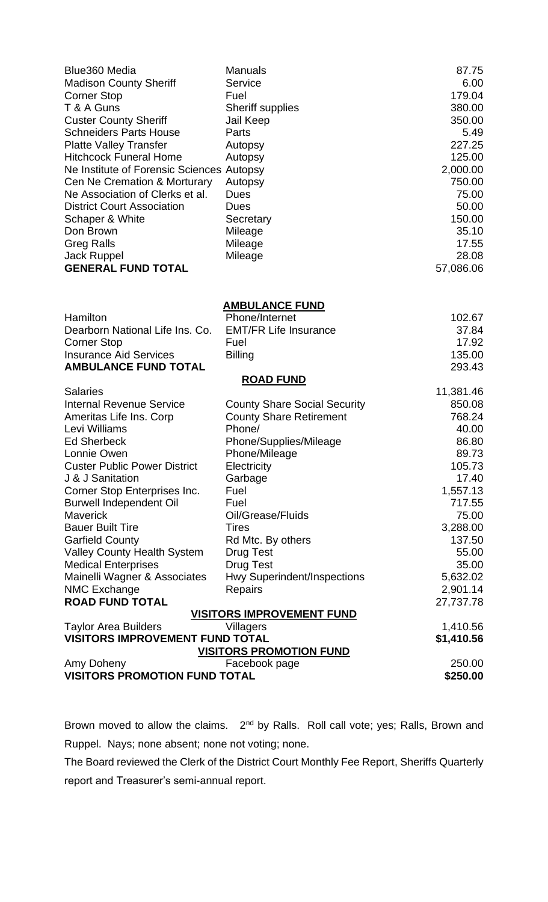| Blue360 Media                                        | <b>Manuals</b>                       | 87.75              |  |  |
|------------------------------------------------------|--------------------------------------|--------------------|--|--|
| <b>Madison County Sheriff</b>                        | <b>Service</b>                       | 6.00               |  |  |
| <b>Corner Stop</b>                                   | Fuel                                 | 179.04             |  |  |
| T & A Guns                                           | <b>Sheriff supplies</b>              | 380.00             |  |  |
| <b>Custer County Sheriff</b>                         | Jail Keep                            | 350.00             |  |  |
| <b>Schneiders Parts House</b>                        | Parts                                | 5.49               |  |  |
| <b>Platte Valley Transfer</b>                        | Autopsy                              | 227.25             |  |  |
| <b>Hitchcock Funeral Home</b>                        | Autopsy                              | 125.00             |  |  |
| Ne Institute of Forensic Sciences                    | Autopsy                              | 2,000.00           |  |  |
| Cen Ne Cremation & Morturary                         | Autopsy                              | 750.00             |  |  |
| Ne Association of Clerks et al.                      | <b>Dues</b>                          | 75.00              |  |  |
| <b>District Court Association</b>                    | <b>Dues</b>                          | 50.00              |  |  |
| Schaper & White                                      | Secretary                            | 150.00             |  |  |
| Don Brown                                            | Mileage                              | 35.10              |  |  |
| <b>Greg Ralls</b>                                    | Mileage                              | 17.55              |  |  |
| <b>Jack Ruppel</b>                                   | Mileage                              | 28.08              |  |  |
| <b>GENERAL FUND TOTAL</b>                            |                                      | 57,086.06          |  |  |
|                                                      |                                      |                    |  |  |
|                                                      | <b>AMBULANCE FUND</b>                |                    |  |  |
| Hamilton                                             | Phone/Internet                       | 102.67             |  |  |
| Dearborn National Life Ins. Co.                      | <b>EMT/FR Life Insurance</b><br>Fuel | 37.84              |  |  |
| <b>Corner Stop</b><br><b>Insurance Aid Services</b>  |                                      | 17.92<br>135.00    |  |  |
| <b>AMBULANCE FUND TOTAL</b>                          | <b>Billing</b>                       | 293.43             |  |  |
|                                                      | <b>ROAD FUND</b>                     |                    |  |  |
| <b>Salaries</b>                                      |                                      | 11,381.46          |  |  |
| <b>Internal Revenue Service</b>                      | <b>County Share Social Security</b>  | 850.08             |  |  |
| Ameritas Life Ins. Corp                              | <b>County Share Retirement</b>       | 768.24             |  |  |
| Levi Williams                                        | Phone/                               | 40.00              |  |  |
| <b>Ed Sherbeck</b>                                   | Phone/Supplies/Mileage               | 86.80              |  |  |
| Lonnie Owen                                          | Phone/Mileage                        | 89.73              |  |  |
| <b>Custer Public Power District</b>                  | Electricity                          | 105.73             |  |  |
| J & J Sanitation                                     | Garbage                              | 17.40              |  |  |
| Corner Stop Enterprises Inc.                         | Fuel                                 | 1,557.13           |  |  |
| <b>Burwell Independent Oil</b>                       | Fuel                                 | 717.55             |  |  |
| <b>Maverick</b>                                      | Oil/Grease/Fluids                    | 75.00              |  |  |
| <b>Bauer Built Tire</b>                              | <b>Tires</b>                         | 3,288.00           |  |  |
| <b>Garfield County</b>                               | Rd Mtc. By others                    | 137.50             |  |  |
| <b>Valley County Health System</b>                   | <b>Drug Test</b>                     | 55.00              |  |  |
| <b>Medical Enterprises</b>                           | <b>Drug Test</b>                     | 35.00              |  |  |
| Mainelli Wagner & Associates                         | Hwy Superindent/Inspections          | 5,632.02           |  |  |
| <b>NMC Exchange</b>                                  | <b>Repairs</b>                       | 2,901.14           |  |  |
| <b>ROAD FUND TOTAL</b>                               |                                      | 27,737.78          |  |  |
| <b>VISITORS IMPROVEMENT FUND</b>                     |                                      |                    |  |  |
| <b>Taylor Area Builders</b>                          | Villagers                            | 1,410.56           |  |  |
| <b>VISITORS IMPROVEMENT FUND TOTAL</b><br>\$1,410.56 |                                      |                    |  |  |
|                                                      | <u>VISITORS PROMOTION FUND</u>       |                    |  |  |
| Amy Doheny<br><b>VISITORS PROMOTION FUND TOTAL</b>   | Facebook page                        | 250.00<br>\$250.00 |  |  |
|                                                      |                                      |                    |  |  |

Brown moved to allow the claims. 2<sup>nd</sup> by Ralls. Roll call vote; yes; Ralls, Brown and Ruppel. Nays; none absent; none not voting; none.

The Board reviewed the Clerk of the District Court Monthly Fee Report, Sheriffs Quarterly report and Treasurer's semi-annual report.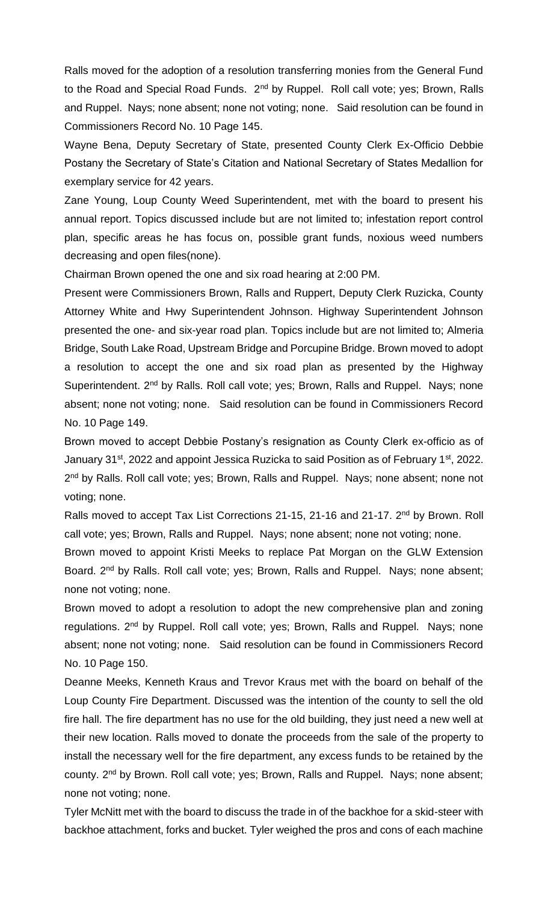Ralls moved for the adoption of a resolution transferring monies from the General Fund to the Road and Special Road Funds. 2<sup>nd</sup> by Ruppel. Roll call vote; yes; Brown, Ralls and Ruppel. Nays; none absent; none not voting; none. Said resolution can be found in Commissioners Record No. 10 Page 145.

Wayne Bena, Deputy Secretary of State, presented County Clerk Ex-Officio Debbie Postany the Secretary of State's Citation and National Secretary of States Medallion for exemplary service for 42 years.

Zane Young, Loup County Weed Superintendent, met with the board to present his annual report. Topics discussed include but are not limited to; infestation report control plan, specific areas he has focus on, possible grant funds, noxious weed numbers decreasing and open files(none).

Chairman Brown opened the one and six road hearing at 2:00 PM.

Present were Commissioners Brown, Ralls and Ruppert, Deputy Clerk Ruzicka, County Attorney White and Hwy Superintendent Johnson. Highway Superintendent Johnson presented the one- and six-year road plan. Topics include but are not limited to; Almeria Bridge, South Lake Road, Upstream Bridge and Porcupine Bridge. Brown moved to adopt a resolution to accept the one and six road plan as presented by the Highway Superintendent. 2<sup>nd</sup> by Ralls. Roll call vote; yes; Brown, Ralls and Ruppel. Nays; none absent; none not voting; none. Said resolution can be found in Commissioners Record No. 10 Page 149.

Brown moved to accept Debbie Postany's resignation as County Clerk ex-officio as of January 31<sup>st</sup>, 2022 and appoint Jessica Ruzicka to said Position as of February 1<sup>st</sup>, 2022. 2<sup>nd</sup> by Ralls. Roll call vote; yes; Brown, Ralls and Ruppel. Nays; none absent; none not voting; none.

Ralls moved to accept Tax List Corrections 21-15, 21-16 and 21-17. 2<sup>nd</sup> by Brown. Roll call vote; yes; Brown, Ralls and Ruppel. Nays; none absent; none not voting; none.

Brown moved to appoint Kristi Meeks to replace Pat Morgan on the GLW Extension Board. 2<sup>nd</sup> by Ralls. Roll call vote; yes; Brown, Ralls and Ruppel. Nays; none absent; none not voting; none.

Brown moved to adopt a resolution to adopt the new comprehensive plan and zoning regulations. 2<sup>nd</sup> by Ruppel. Roll call vote; yes; Brown, Ralls and Ruppel. Nays; none absent; none not voting; none. Said resolution can be found in Commissioners Record No. 10 Page 150.

Deanne Meeks, Kenneth Kraus and Trevor Kraus met with the board on behalf of the Loup County Fire Department. Discussed was the intention of the county to sell the old fire hall. The fire department has no use for the old building, they just need a new well at their new location. Ralls moved to donate the proceeds from the sale of the property to install the necessary well for the fire department, any excess funds to be retained by the county. 2<sup>nd</sup> by Brown. Roll call vote; yes; Brown, Ralls and Ruppel. Nays; none absent; none not voting; none.

Tyler McNitt met with the board to discuss the trade in of the backhoe for a skid-steer with backhoe attachment, forks and bucket. Tyler weighed the pros and cons of each machine